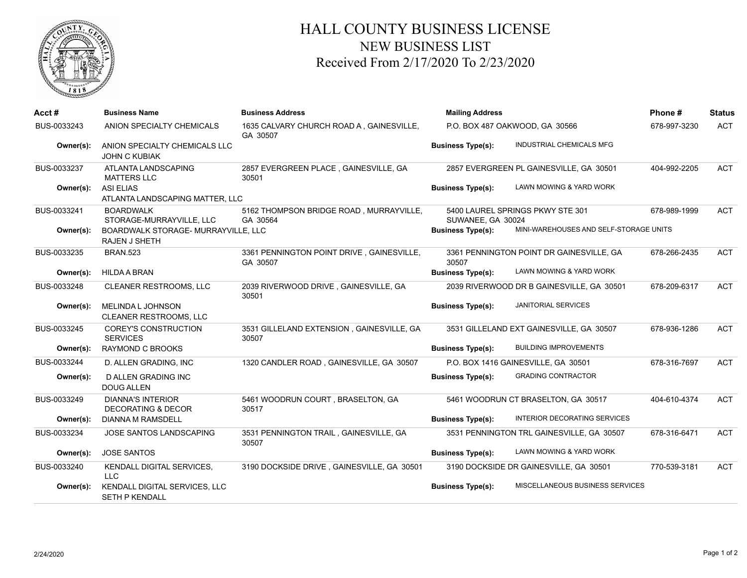

## HALL COUNTY BUSINESS LICENSE NEW BUSINESS LIST Received From 2/17/2020 To 2/23/2020

| Acct#       | <b>Business Name</b>                                        | <b>Business Address</b>                               | <b>Mailing Address</b>         |                                           | Phone#       | <b>Status</b> |
|-------------|-------------------------------------------------------------|-------------------------------------------------------|--------------------------------|-------------------------------------------|--------------|---------------|
| BUS-0033243 | ANION SPECIALTY CHEMICALS                                   | 1635 CALVARY CHURCH ROAD A, GAINESVILLE,<br>GA 30507  | P.O. BOX 487 OAKWOOD, GA 30566 |                                           | 678-997-3230 | <b>ACT</b>    |
| Owner(s):   | ANION SPECIALTY CHEMICALS LLC<br><b>JOHN C KUBIAK</b>       |                                                       | <b>Business Type(s):</b>       | INDUSTRIAL CHEMICALS MFG                  |              |               |
| BUS-0033237 | ATLANTA LANDSCAPING<br><b>MATTERS LLC</b>                   | 2857 EVERGREEN PLACE, GAINESVILLE, GA<br>30501        |                                | 2857 EVERGREEN PL GAINESVILLE, GA 30501   | 404-992-2205 | <b>ACT</b>    |
| Owner(s):   | <b>ASI ELIAS</b><br>ATLANTA LANDSCAPING MATTER, LLC         |                                                       | <b>Business Type(s):</b>       | LAWN MOWING & YARD WORK                   |              |               |
| BUS-0033241 | <b>BOARDWALK</b><br>STORAGE-MURRAYVILLE, LLC                | 5162 THOMPSON BRIDGE ROAD, MURRAYVILLE,<br>GA 30564   | SUWANEE, GA 30024              | 5400 LAUREL SPRINGS PKWY STE 301          | 678-989-1999 | <b>ACT</b>    |
| Owner(s):   | BOARDWALK STORAGE- MURRAYVILLE, LLC<br><b>RAJEN J SHETH</b> |                                                       | <b>Business Type(s):</b>       | MINI-WAREHOUSES AND SELF-STORAGE UNITS    |              |               |
| BUS-0033235 | <b>BRAN.523</b>                                             | 3361 PENNINGTON POINT DRIVE, GAINESVILLE,<br>GA 30507 | 30507                          | 3361 PENNINGTON POINT DR GAINESVILLE, GA  | 678-266-2435 | <b>ACT</b>    |
| Owner(s):   | <b>HILDA A BRAN</b>                                         |                                                       | <b>Business Type(s):</b>       | LAWN MOWING & YARD WORK                   |              |               |
| BUS-0033248 | <b>CLEANER RESTROOMS, LLC</b>                               | 2039 RIVERWOOD DRIVE, GAINESVILLE, GA<br>30501        |                                | 2039 RIVERWOOD DR B GAINESVILLE, GA 30501 | 678-209-6317 | <b>ACT</b>    |
| Owner(s):   | MELINDA L JOHNSON<br><b>CLEANER RESTROOMS, LLC</b>          |                                                       | <b>Business Type(s):</b>       | <b>JANITORIAL SERVICES</b>                |              |               |
| BUS-0033245 | COREY'S CONSTRUCTION<br><b>SERVICES</b>                     | 3531 GILLELAND EXTENSION, GAINESVILLE, GA<br>30507    |                                | 3531 GILLELAND EXT GAINESVILLE, GA 30507  | 678-936-1286 | <b>ACT</b>    |
| Owner(s):   | <b>RAYMOND C BROOKS</b>                                     |                                                       | <b>Business Type(s):</b>       | <b>BUILDING IMPROVEMENTS</b>              |              |               |
| BUS-0033244 | D. ALLEN GRADING, INC                                       | 1320 CANDLER ROAD, GAINESVILLE, GA 30507              |                                | P.O. BOX 1416 GAINESVILLE, GA 30501       | 678-316-7697 | <b>ACT</b>    |
| Owner(s):   | D ALLEN GRADING INC<br><b>DOUG ALLEN</b>                    |                                                       | <b>Business Type(s):</b>       | <b>GRADING CONTRACTOR</b>                 |              |               |
| BUS-0033249 | <b>DIANNA'S INTERIOR</b><br><b>DECORATING &amp; DECOR</b>   | 5461 WOODRUN COURT, BRASELTON, GA<br>30517            |                                | 5461 WOODRUN CT BRASELTON, GA 30517       | 404-610-4374 | <b>ACT</b>    |
| Owner(s):   | DIANNA M RAMSDELL                                           |                                                       | <b>Business Type(s):</b>       | INTERIOR DECORATING SERVICES              |              |               |
| BUS-0033234 | JOSE SANTOS LANDSCAPING                                     | 3531 PENNINGTON TRAIL, GAINESVILLE, GA<br>30507       |                                | 3531 PENNINGTON TRL GAINESVILLE, GA 30507 | 678-316-6471 | <b>ACT</b>    |
| Owner(s):   | <b>JOSE SANTOS</b>                                          |                                                       | <b>Business Type(s):</b>       | LAWN MOWING & YARD WORK                   |              |               |
| BUS-0033240 | KENDALL DIGITAL SERVICES,<br><b>LLC</b>                     | 3190 DOCKSIDE DRIVE, GAINESVILLE, GA 30501            |                                | 3190 DOCKSIDE DR GAINESVILLE, GA 30501    | 770-539-3181 | <b>ACT</b>    |
| Owner(s):   | KENDALL DIGITAL SERVICES, LLC<br><b>SETH P KENDALL</b>      |                                                       | <b>Business Type(s):</b>       | MISCELLANEOUS BUSINESS SERVICES           |              |               |